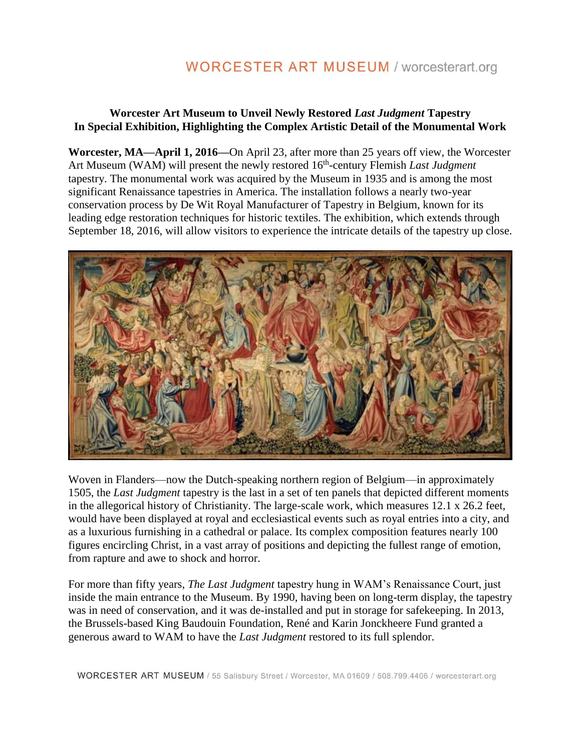# **WORCESTER ART MUSEUM / worcesterart.org**

### **Worcester Art Museum to Unveil Newly Restored** *Last Judgment* **Tapestry In Special Exhibition, Highlighting the Complex Artistic Detail of the Monumental Work**

**Worcester, MA—April 1, 2016—**On April 23, after more than 25 years off view, the Worcester Art Museum (WAM) will present the newly restored 16<sup>th</sup>-century Flemish *Last Judgment* tapestry. The monumental work was acquired by the Museum in 1935 and is among the most significant Renaissance tapestries in America. The installation follows a nearly two-year conservation process by De Wit Royal Manufacturer of Tapestry in Belgium, known for its leading edge restoration techniques for historic textiles. The exhibition, which extends through September 18, 2016, will allow visitors to experience the intricate details of the tapestry up close.



Woven in Flanders—now the Dutch-speaking northern region of Belgium—in approximately 1505, the *Last Judgment* tapestry is the last in a set of ten panels that depicted different moments in the allegorical history of Christianity. The large-scale work, which measures 12.1 x 26.2 feet, would have been displayed at royal and ecclesiastical events such as royal entries into a city, and as a luxurious furnishing in a cathedral or palace. Its complex composition features nearly 100 figures encircling Christ, in a vast array of positions and depicting the fullest range of emotion, from rapture and awe to shock and horror.

For more than fifty years, *The Last Judgment* tapestry hung in WAM's Renaissance Court, just inside the main entrance to the Museum. By 1990, having been on long-term display, the tapestry was in need of conservation, and it was de-installed and put in storage for safekeeping. In 2013, the Brussels-based King Baudouin Foundation, René and Karin Jonckheere Fund granted a generous award to WAM to have the *Last Judgment* restored to its full splendor.

WORCESTER ART MUSEUM / 55 Salisbury Street / Worcester, MA 01609 / 508.799.4406 / worcesterart.org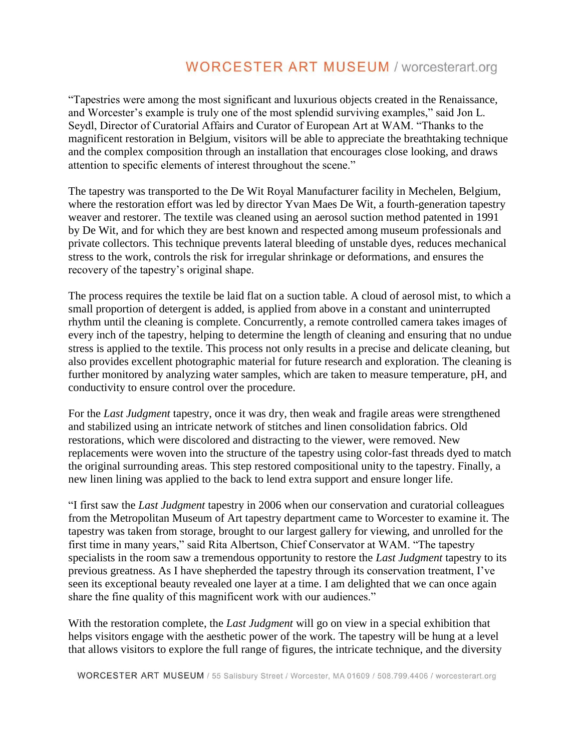# **WORCESTER ART MUSEUM / worcesterart.org**

"Tapestries were among the most significant and luxurious objects created in the Renaissance, and Worcester's example is truly one of the most splendid surviving examples," said Jon L. Seydl, Director of Curatorial Affairs and Curator of European Art at WAM. "Thanks to the magnificent restoration in Belgium, visitors will be able to appreciate the breathtaking technique and the complex composition through an installation that encourages close looking, and draws attention to specific elements of interest throughout the scene."

The tapestry was transported to the De Wit Royal Manufacturer facility in Mechelen, Belgium, where the restoration effort was led by director Yvan Maes De Wit, a fourth-generation tapestry weaver and restorer. The textile was cleaned using an aerosol suction method patented in 1991 by De Wit, and for which they are best known and respected among museum professionals and private collectors. This technique prevents lateral bleeding of unstable dyes, reduces mechanical stress to the work, controls the risk for irregular shrinkage or deformations, and ensures the recovery of the tapestry's original shape.

The process requires the textile be laid flat on a suction table. A cloud of aerosol mist, to which a small proportion of detergent is added, is applied from above in a constant and uninterrupted rhythm until the cleaning is complete. Concurrently, a remote controlled camera takes images of every inch of the tapestry, helping to determine the length of cleaning and ensuring that no undue stress is applied to the textile. This process not only results in a precise and delicate cleaning, but also provides excellent photographic material for future research and exploration. The cleaning is further monitored by analyzing water samples, which are taken to measure temperature, pH, and conductivity to ensure control over the procedure.

For the *Last Judgment* tapestry, once it was dry, then weak and fragile areas were strengthened and stabilized using an intricate network of stitches and linen consolidation fabrics. Old restorations, which were discolored and distracting to the viewer, were removed. New replacements were woven into the structure of the tapestry using color-fast threads dyed to match the original surrounding areas. This step restored compositional unity to the tapestry. Finally, a new linen lining was applied to the back to lend extra support and ensure longer life.

"I first saw the *Last Judgment* tapestry in 2006 when our conservation and curatorial colleagues from the Metropolitan Museum of Art tapestry department came to Worcester to examine it. The tapestry was taken from storage, brought to our largest gallery for viewing, and unrolled for the first time in many years," said Rita Albertson, Chief Conservator at WAM. "The tapestry specialists in the room saw a tremendous opportunity to restore the *Last Judgment* tapestry to its previous greatness. As I have shepherded the tapestry through its conservation treatment, I've seen its exceptional beauty revealed one layer at a time. I am delighted that we can once again share the fine quality of this magnificent work with our audiences."

With the restoration complete, the *Last Judgment* will go on view in a special exhibition that helps visitors engage with the aesthetic power of the work. The tapestry will be hung at a level that allows visitors to explore the full range of figures, the intricate technique, and the diversity

WORCESTER ART MUSEUM / 55 Salisbury Street / Worcester, MA 01609 / 508.799.4406 / worcesterart.org